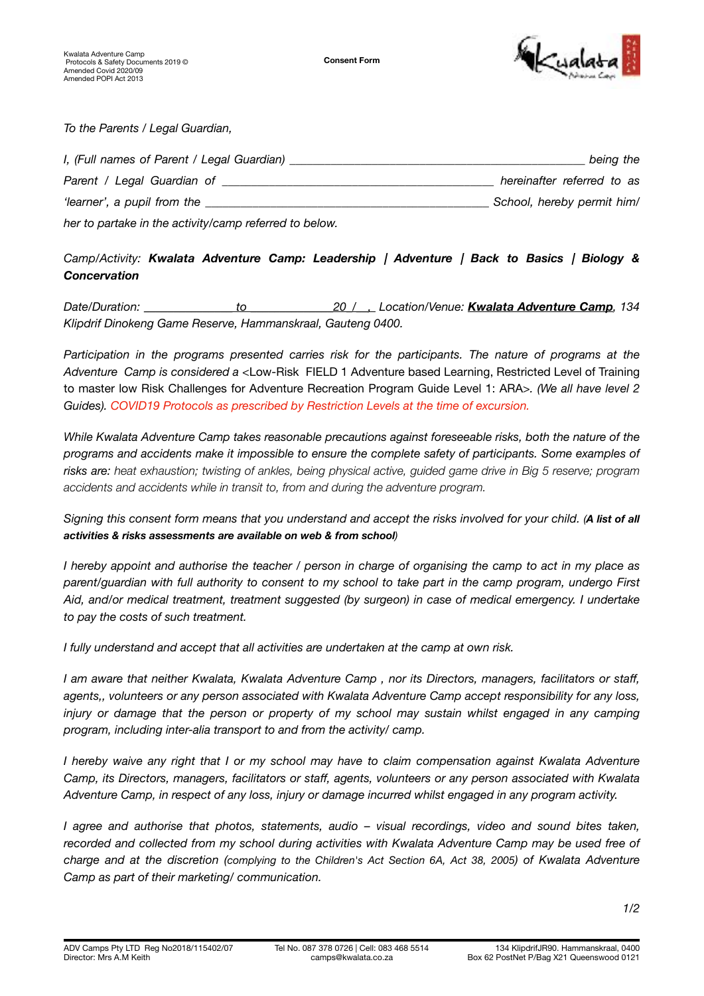

*To the Parents / Legal Guardian,* 

| I, (Full names of Parent / Legal Guardian)             | being the                  |
|--------------------------------------------------------|----------------------------|
| Parent / Legal Guardian of                             | hereinafter referred to as |
| 'learner', a pupil from the                            | School, hereby permit him/ |
| her to partake in the activity/camp referred to below. |                            |

## *Camp/Activity: Kwalata Adventure Camp: Leadership | Adventure | Back to Basics | Biology & Concervation*

*Date/Duration: \_\_\_\_\_\_\_\_\_\_\_\_\_\_\_ to \_\_\_\_\_\_\_\_\_\_\_\_\_\_20\_/\_\_, Location/Venue: Kwalata Adventure Camp, 134 Klipdrif Dinokeng Game Reserve, Hammanskraal, Gauteng 0400.* 

*Participation in the programs presented carries risk for the participants. The nature of programs at the Adventure Camp is considered a <*Low-Risk FIELD 1 Adventure based Learning, Restricted Level of Training to master low Risk Challenges for Adventure Recreation Program Guide Level 1: ARA*>. (We all have level 2 Guides). COVID19 Protocols as prescribed by Restriction Levels at the time of excursion.*

*While Kwalata Adventure Camp takes reasonable precautions against foreseeable risks, both the nature of the programs and accidents make it impossible to ensure the complete safety of participants. Some examples of risks are: heat exhaustion; twisting of ankles, being physical active, guided game drive in Big 5 reserve; program accidents and accidents while in transit to, from and during the adventure program.*

*Signing this consent form means that you understand and accept the risks involved for your child. (A list of all activities & risks assessments are available on web & from school)* 

*I hereby appoint and authorise the teacher / person in charge of organising the camp to act in my place as parent/guardian with full authority to consent to my school to take part in the camp program, undergo First Aid, and/or medical treatment, treatment suggested (by surgeon) in case of medical emergency. I undertake to pay the costs of such treatment.* 

*I fully understand and accept that all activities are undertaken at the camp at own risk.* 

*I am aware that neither Kwalata, Kwalata Adventure Camp , nor its Directors, managers, facilitators or staff, agents,, volunteers or any person associated with Kwalata Adventure Camp accept responsibility for any loss, injury or damage that the person or property of my school may sustain whilst engaged in any camping program, including inter-alia transport to and from the activity/ camp.* 

*I hereby waive any right that I or my school may have to claim compensation against Kwalata Adventure Camp, its Directors, managers, facilitators or staff, agents, volunteers or any person associated with Kwalata Adventure Camp, in respect of any loss, injury or damage incurred whilst engaged in any program activity.* 

*I agree and authorise that photos, statements, audio – visual recordings, video and sound bites taken,*  recorded and collected from my school during activities with Kwalata Adventure Camp may be used free of *charge and at the discretion (complying to the Children's Act Section 6A, Act 38, 2005) of Kwalata Adventure Camp as part of their marketing/ communication.*